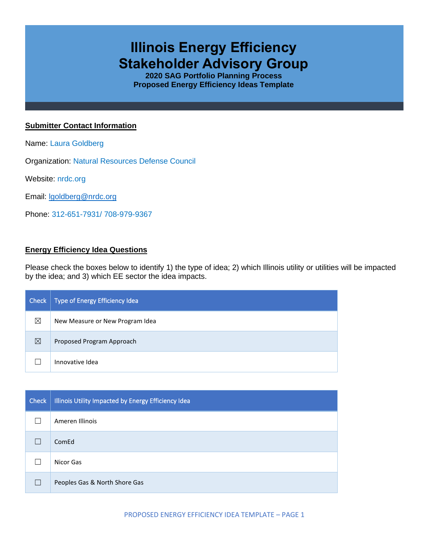# **Illinois Energy Efficiency Stakeholder Advisory Group**

**2020 SAG Portfolio Planning Process Proposed Energy Efficiency Ideas Template**

## **Submitter Contact Information**

Name: Laura Goldberg

Organization: Natural Resources Defense Council

Website: nrdc.org

Email: [lgoldberg@nrdc.org](mailto:lgoldberg@nrdc.org)

Phone: 312-651-7931/ 708-979-9367

## **Energy Efficiency Idea Questions**

Please check the boxes below to identify 1) the type of idea; 2) which Illinois utility or utilities will be impacted by the idea; and 3) which EE sector the idea impacts.

| Check | Type of Energy Efficiency Idea  |
|-------|---------------------------------|
| ⊠     | New Measure or New Program Idea |
| ⊠     | Proposed Program Approach       |
|       | Innovative Idea                 |

| <b>Check</b> | Illinois Utility Impacted by Energy Efficiency Idea |
|--------------|-----------------------------------------------------|
|              | Ameren Illinois                                     |
|              | ComEd                                               |
|              | Nicor Gas                                           |
|              | Peoples Gas & North Shore Gas                       |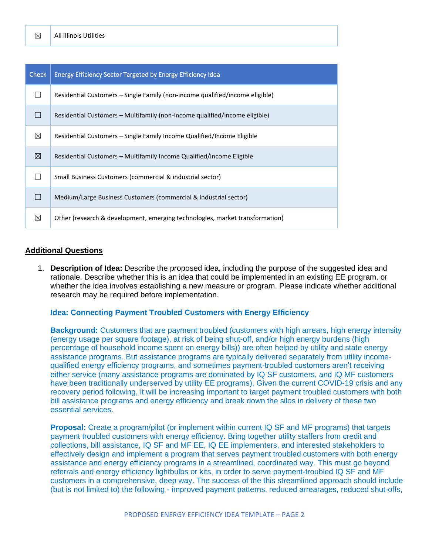| <b>Check</b> | <b>Energy Efficiency Sector Targeted by Energy Efficiency Idea</b>           |
|--------------|------------------------------------------------------------------------------|
|              | Residential Customers - Single Family (non-income qualified/income eligible) |
|              | Residential Customers – Multifamily (non-income qualified/income eligible)   |
| ⊠            | Residential Customers – Single Family Income Qualified/Income Eligible       |
| ⊠            | Residential Customers – Multifamily Income Qualified/Income Eligible         |
|              | Small Business Customers (commercial & industrial sector)                    |
|              | Medium/Large Business Customers (commercial & industrial sector)             |
| ⊠            | Other (research & development, emerging technologies, market transformation) |

#### **Additional Questions**

1. **Description of Idea:** Describe the proposed idea, including the purpose of the suggested idea and rationale. Describe whether this is an idea that could be implemented in an existing EE program, or whether the idea involves establishing a new measure or program. Please indicate whether additional research may be required before implementation.

#### **Idea: Connecting Payment Troubled Customers with Energy Efficiency**

**Background:** Customers that are payment troubled (customers with high arrears, high energy intensity (energy usage per square footage), at risk of being shut-off, and/or high energy burdens (high percentage of household income spent on energy bills)) are often helped by utility and state energy assistance programs. But assistance programs are typically delivered separately from utility incomequalified energy efficiency programs, and sometimes payment-troubled customers aren't receiving either service (many assistance programs are dominated by IQ SF customers, and IQ MF customers have been traditionally underserved by utility EE programs). Given the current COVID-19 crisis and any recovery period following, it will be increasing important to target payment troubled customers with both bill assistance programs and energy efficiency and break down the silos in delivery of these two essential services.

**Proposal:** Create a program/pilot (or implement within current IQ SF and MF programs) that targets payment troubled customers with energy efficiency. Bring together utility staffers from credit and collections, bill assistance, IQ SF and MF EE, IQ EE implementers, and interested stakeholders to effectively design and implement a program that serves payment troubled customers with both energy assistance and energy efficiency programs in a streamlined, coordinated way. This must go beyond referrals and energy efficiency lightbulbs or kits, in order to serve payment-troubled IQ SF and MF customers in a comprehensive, deep way. The success of the this streamlined approach should include (but is not limited to) the following - improved payment patterns, reduced arrearages, reduced shut-offs,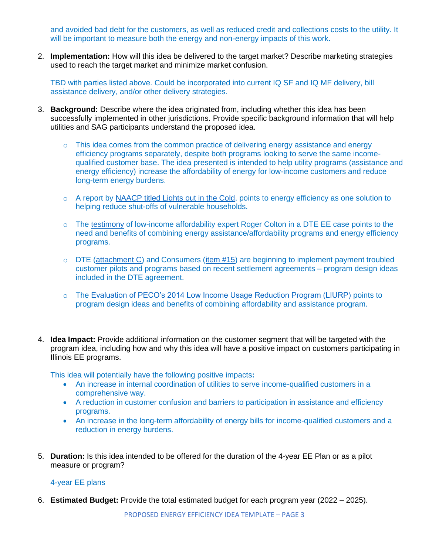and avoided bad debt for the customers, as well as reduced credit and collections costs to the utility. It will be important to measure both the energy and non-energy impacts of this work.

2. **Implementation:** How will this idea be delivered to the target market? Describe marketing strategies used to reach the target market and minimize market confusion.

TBD with parties listed above. Could be incorporated into current IQ SF and IQ MF delivery, bill assistance delivery, and/or other delivery strategies.

- 3. **Background:** Describe where the idea originated from, including whether this idea has been successfully implemented in other jurisdictions. Provide specific background information that will help utilities and SAG participants understand the proposed idea.
	- $\circ$  This idea comes from the common practice of delivering energy assistance and energy efficiency programs separately, despite both programs looking to serve the same incomequalified customer base. The idea presented is intended to help utility programs (assistance and energy efficiency) increase the affordability of energy for low-income customers and reduce long-term energy burdens.
	- o A report by [NAACP titled Lights out in the Cold,](https://www.naacp.org/climate-justice-resources/lights-out-in-the-cold/) points to energy efficiency as one solution to helping reduce shut-offs of vulnerable households.
	- o The [testimony](https://mi-psc.force.com/sfc/servlet.shepherd/version/download/068t0000001UXC5AAO) of low-income affordability expert Roger Colton in a DTE EE case points to the need and benefits of combining energy assistance/affordability programs and energy efficiency programs.
	- $\circ$  DTE [\(attachment C\)](https://mi-psc.force.com/sfc/servlet.shepherd/version/download/068t0000009iSM3AAM) and Consumers [\(item #15\)](https://mi-psc.force.com/sfc/servlet.shepherd/version/download/068t0000009hu1HAAQ) are beginning to implement payment troubled customer pilots and programs based on recent settlement agreements – program design ideas included in the DTE agreement.
	- o The [Evaluation of PECO's 2014 Low Income Usage Reduction Program \(LIURP\)](https://www.puc.state.pa.us/General/pdf/USP_Evaluation_LIURP-Peco.pdf) points to program design ideas and benefits of combining affordability and assistance program.
- 4. **Idea Impact:** Provide additional information on the customer segment that will be targeted with the program idea, including how and why this idea will have a positive impact on customers participating in Illinois EE programs.

This idea will potentially have the following positive impacts**:**

- An increase in internal coordination of utilities to serve income-qualified customers in a comprehensive way.
- A reduction in customer confusion and barriers to participation in assistance and efficiency programs.
- An increase in the long-term affordability of energy bills for income-qualified customers and a reduction in energy burdens.
- 5. **Duration:** Is this idea intended to be offered for the duration of the 4-year EE Plan or as a pilot measure or program?

## 4-year EE plans

6. **Estimated Budget:** Provide the total estimated budget for each program year (2022 – 2025).